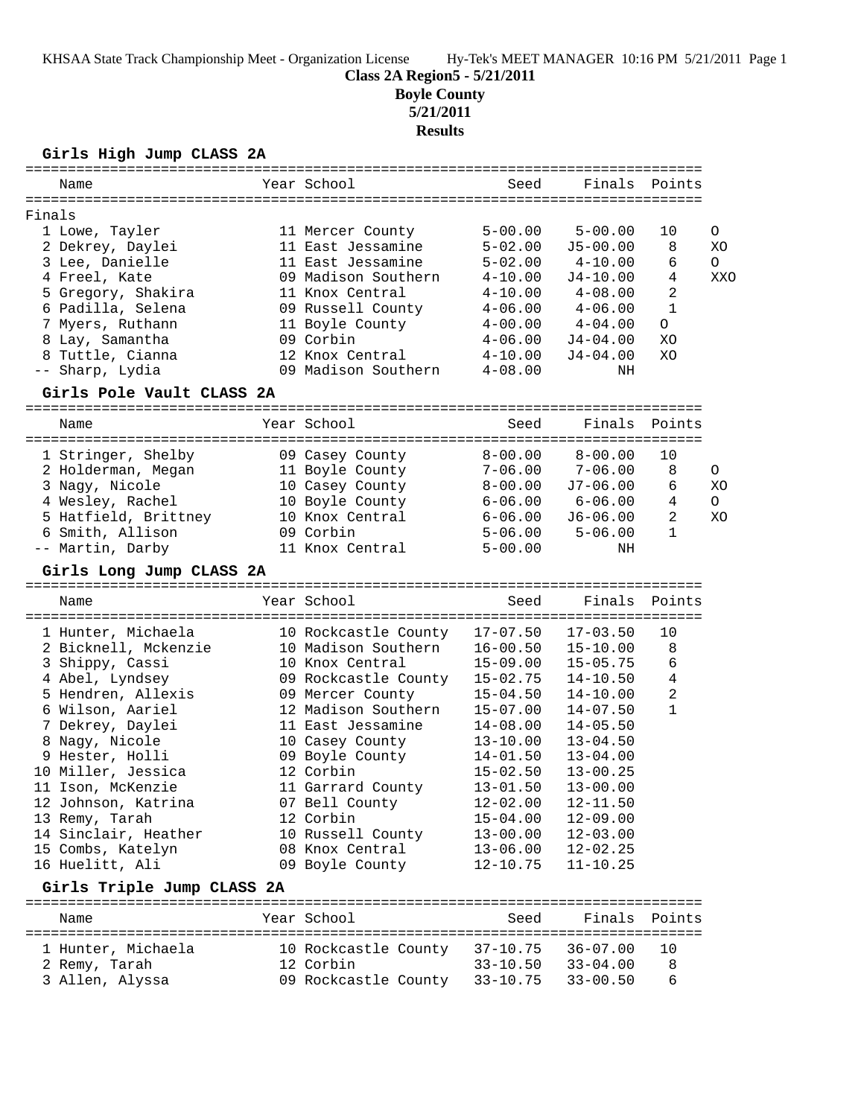## **Class 2A Region5 - 5/21/2011**

**Boyle County**

**5/21/2011**

# **Results**

## **Girls High Jump CLASS 2A**

| Name                                          | ==============<br>Year School | =====================================<br>Seed | Finals                       | Points                |         |
|-----------------------------------------------|-------------------------------|-----------------------------------------------|------------------------------|-----------------------|---------|
| Finals                                        |                               |                                               |                              |                       |         |
| 1 Lowe, Tayler                                | 11 Mercer County              | $5 - 00.00$                                   | $5 - 00.00$                  | 10                    | O       |
| 2 Dekrey, Daylei                              | 11 East Jessamine             | $5 - 02.00$                                   | $J5 - 00.00$                 | 8                     | XO      |
| 3 Lee, Danielle                               | 11 East Jessamine             | $5 - 02.00$                                   | $4 - 10.00$                  | 6                     | $\circ$ |
| 4 Freel, Kate                                 | 09 Madison Southern           | $4 - 10.00$                                   | J4-10.00                     | 4                     | XXO     |
| 5 Gregory, Shakira                            | 11 Knox Central               | $4 - 10.00$                                   | $4 - 08.00$                  | 2                     |         |
| 6 Padilla, Selena                             | 09 Russell County             | $4 - 06.00$                                   | $4 - 06.00$                  | $\mathbf{1}$          |         |
| 7 Myers, Ruthann                              | 11 Boyle County               | $4 - 00.00$                                   | $4 - 04.00$                  | $\circ$               |         |
| 8 Lay, Samantha                               | 09 Corbin                     | $4 - 06.00$                                   | $J4 - 04.00$                 | XO                    |         |
| 8 Tuttle, Cianna                              | 12 Knox Central               | $4 - 10.00$                                   | $J4 - 04.00$                 | XO                    |         |
| -- Sharp, Lydia                               | 09 Madison Southern           | $4 - 08.00$                                   | NH                           |                       |         |
| Girls Pole Vault CLASS 2A                     |                               |                                               |                              |                       |         |
| Name<br>===================================== | Year School                   | Seed<br>===============                       | Finals                       | Points<br>=========== |         |
| 1 Stringer, Shelby                            | 09 Casey County               | $8 - 00.00$                                   | $8 - 00.00$                  | 10                    |         |
| 2 Holderman, Megan                            | 11 Boyle County               | $7 - 06.00$                                   | $7 - 06.00$                  | 8                     | 0       |
| 3 Nagy, Nicole                                | 10 Casey County               | $8 - 00.00$                                   | $J7-06.00$                   | 6                     | XO      |
| 4 Wesley, Rachel                              | 10 Boyle County               | $6 - 06.00$                                   | $6 - 06.00$                  | 4                     | $\circ$ |
| 5 Hatfield, Brittney                          | 10 Knox Central               | $6 - 06.00$                                   | $J6 - 06.00$                 | 2                     | XO      |
| 6 Smith, Allison                              | 09 Corbin                     | $5 - 06.00$                                   | $5 - 06.00$                  | 1                     |         |
| -- Martin, Darby                              | 11 Knox Central               | $5 - 00.00$                                   | ΝH                           |                       |         |
| Girls Long Jump CLASS 2A                      |                               |                                               |                              |                       |         |
| Name                                          | Year School                   | Seed                                          | Finals                       | Points                |         |
| 1 Hunter, Michaela                            | 10 Rockcastle County          | $17 - 07.50$                                  | $17 - 03.50$                 | 10                    |         |
| 2 Bicknell, Mckenzie                          | 10 Madison Southern           | $16 - 00.50$                                  | $15 - 10.00$                 | 8                     |         |
| 3 Shippy, Cassi                               | 10 Knox Central               | $15 - 09.00$                                  | $15 - 05.75$                 | 6                     |         |
| 4 Abel, Lyndsey                               | 09 Rockcastle County          | $15 - 02.75$                                  | $14 - 10.50$                 | 4                     |         |
| 5 Hendren, Allexis                            | 09 Mercer County              | $15 - 04.50$                                  | $14 - 10.00$                 | 2                     |         |
| 6 Wilson, Aariel                              | 12 Madison Southern           | $15 - 07.00$                                  | $14 - 07.50$                 | 1                     |         |
| 7 Dekrey, Daylei                              | 11 East Jessamine             | $14 - 08.00$                                  | $14 - 05.50$                 |                       |         |
| 8 Nagy, Nicole                                | 10 Casey County               | $13 - 10.00$                                  | $13 - 04.50$                 |                       |         |
| 9 Hester, Holli                               | 09 Boyle County               | $14 - 01.50$                                  | $13 - 04.00$                 |                       |         |
| 10 Miller, Jessica                            | 12 Corbin                     | $15 - 02.50$                                  | $13 - 00.25$                 |                       |         |
| 11 Ison, McKenzie                             | 11 Garrard County             | $13 - 01.50$                                  | $13 - 00.00$                 |                       |         |
| 12 Johnson, Katrina                           | 07 Bell County<br>12 Corbin   | $12 - 02.00$<br>$15 - 04.00$                  | $12 - 11.50$<br>$12 - 09.00$ |                       |         |
| 13 Remy, Tarah<br>14 Sinclair, Heather        | 10 Russell County             | $13 - 00.00$                                  | $12 - 03.00$                 |                       |         |
| 15 Combs, Katelyn                             | 08 Knox Central               | $13 - 06.00$                                  | $12 - 02.25$                 |                       |         |
| 16 Huelitt, Ali                               | 09 Boyle County               | $12 - 10.75$                                  | $11 - 10.25$                 |                       |         |
| Girls Triple Jump CLASS 2A                    |                               |                                               |                              |                       |         |
| Name                                          | Year School                   | Seed                                          | Finals                       | Points                |         |

| 1 Hunter, Michaela | 10 Rockcastle County |                   | 37-10.75 36-07.00 10      |     |
|--------------------|----------------------|-------------------|---------------------------|-----|
| 2 Remy, Tarah      | 12 Corbin            |                   | $33 - 10.50$ $33 - 04.00$ | - R |
| 3 Allen, Alyssa    | 09 Rockcastle County | 33-10.75 33-00.50 |                           | - 6 |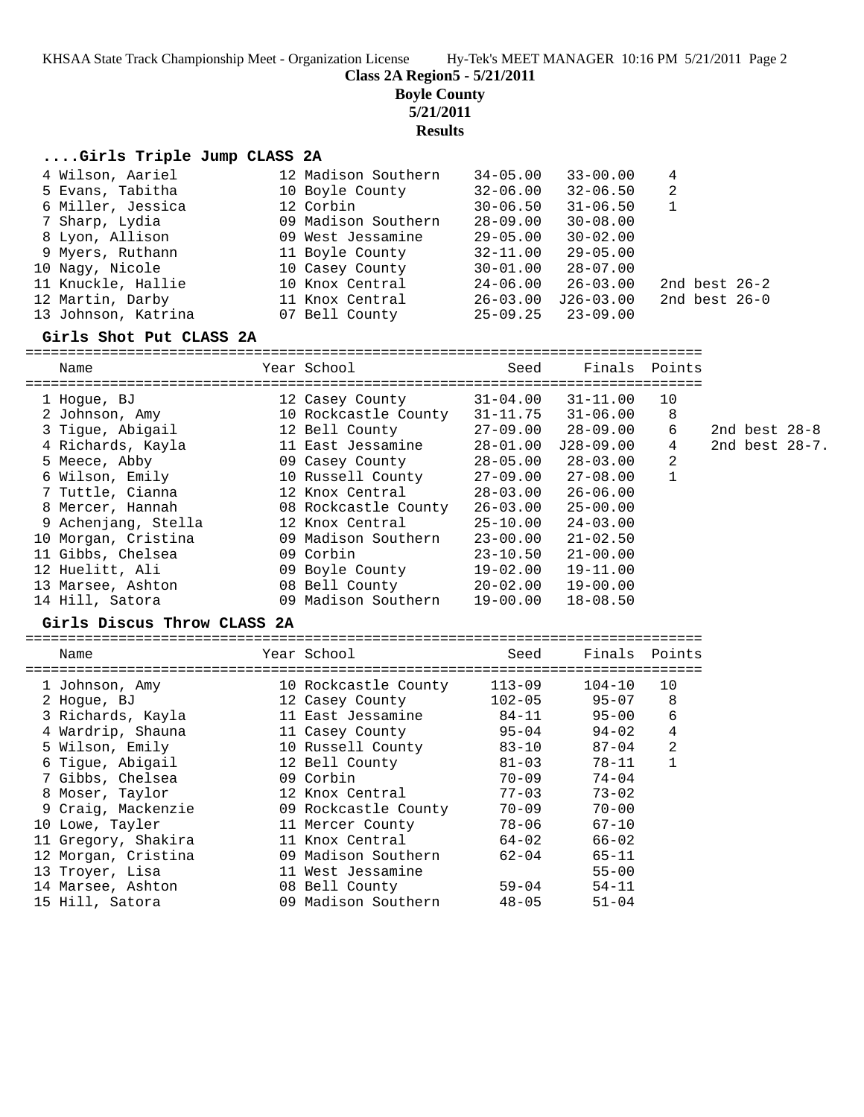KHSAA State Track Championship Meet - Organization License Hy-Tek's MEET MANAGER 10:16 PM 5/21/2011 Page 2

**Class 2A Region5 - 5/21/2011**

**Boyle County**

**5/21/2011**

**Results**

## **....Girls Triple Jump CLASS 2A**

| 4 Wilson, Aariel    | 12 Madison Southern | $34 - 05.00$ | $33 - 00.00$  | 4               |  |
|---------------------|---------------------|--------------|---------------|-----------------|--|
| 5 Evans, Tabitha    | 10 Boyle County     | $32 - 06.00$ | $32 - 06.50$  | 2               |  |
| 6 Miller, Jessica   | 12 Corbin           | $30 - 06.50$ | $31 - 06.50$  |                 |  |
| 7 Sharp, Lydia      | 09 Madison Southern | $28 - 09.00$ | $30 - 08.00$  |                 |  |
| 8 Lyon, Allison     | 09 West Jessamine   | $29 - 05.00$ | $30 - 02.00$  |                 |  |
| 9 Myers, Ruthann    | 11 Boyle County     | $32 - 11.00$ | $29 - 05.00$  |                 |  |
| 10 Nagy, Nicole     | 10 Casey County     | $30 - 01.00$ | $28 - 07.00$  |                 |  |
| 11 Knuckle, Hallie  | 10 Knox Central     | 24-06.00     | $26 - 03.00$  | 2nd best $26-2$ |  |
| 12 Martin, Darby    | 11 Knox Central     | $26 - 03.00$ | $J26 - 03.00$ | 2nd best $26-0$ |  |
| 13 Johnson, Katrina | 07 Bell County      | $25 - 09.25$ | $23 - 09.00$  |                 |  |

#### **Girls Shot Put CLASS 2A**

================================================================================

| Name                        | Year School          | Seed         | Finals Points |              |                   |  |
|-----------------------------|----------------------|--------------|---------------|--------------|-------------------|--|
| 1 Hoque, BJ                 | 12 Casey County      | 31-04.00     | $31 - 11.00$  | 10           |                   |  |
| 2 Johnson, Amy              | 10 Rockcastle County | $31 - 11.75$ | $31 - 06.00$  | 8            |                   |  |
| 3 Tique, Abiqail            | 12 Bell County       | 27-09.00     | $28 - 09.00$  | 6            | 2nd best $28-8$   |  |
| 4 Richards, Kayla           | 11 East Jessamine    | 28-01.00     | $J28-09.00$   | 4            | 2nd best $28-7$ . |  |
| 5 Meece, Abby               | 09 Casey County      | 28-05.00     | $28 - 03.00$  | 2            |                   |  |
| 6 Wilson, Emily             | 10 Russell County    | 27-09.00     | $27 - 08.00$  | $\mathbf{1}$ |                   |  |
| 7 Tuttle, Cianna            | 12 Knox Central      | 28-03.00     | 26-06.00      |              |                   |  |
| 8 Mercer, Hannah            | 08 Rockcastle County | 26-03.00     | 25-00.00      |              |                   |  |
| 9 Achenjang, Stella         | 12 Knox Central      | 25-10.00     | $24 - 03.00$  |              |                   |  |
| 10 Morgan, Cristina         | 09 Madison Southern  | $23 - 00.00$ | $21 - 02.50$  |              |                   |  |
| 11 Gibbs, Chelsea           | 09 Corbin            | $23 - 10.50$ | $21 - 00.00$  |              |                   |  |
| 12 Huelitt, Ali             | 09 Boyle County      | 19-02.00     | $19 - 11.00$  |              |                   |  |
| 13 Marsee, Ashton           | 08 Bell County       | $20 - 02.00$ | $19 - 00.00$  |              |                   |  |
| 14 Hill, Satora             | 09 Madison Southern  | 19-00.00     | $18 - 08.50$  |              |                   |  |
| Girls Discus Throw CLASS 2A |                      |              |               |              |                   |  |

# ================================================================================

| Name                | Year School          | Seed       |            | Finals Points  |
|---------------------|----------------------|------------|------------|----------------|
| 1 Johnson, Amy      | 10 Rockcastle County | $113 - 09$ | $104 - 10$ | 10             |
| 2 Hoque, BJ         | 12 Casey County      | $102 - 05$ | $95 - 07$  | 8              |
| 3 Richards, Kayla   | 11 East Jessamine    | $84 - 11$  | $95 - 00$  | 6              |
| 4 Wardrip, Shauna   | 11 Casey County      | $95 - 04$  | $94 - 02$  | 4              |
| 5 Wilson, Emily     | 10 Russell County    | $83 - 10$  | $87 - 04$  | $\overline{2}$ |
| 6 Tique, Abiqail    | 12 Bell County       | $81 - 03$  | $78 - 11$  |                |
| 7 Gibbs, Chelsea    | 09 Corbin            | 70-09      | $74 - 04$  |                |
| 8 Moser, Taylor     | 12 Knox Central      | $77 - 03$  | $73 - 02$  |                |
| 9 Craig, Mackenzie  | 09 Rockcastle County | $70 - 09$  | $70 - 00$  |                |
| 10 Lowe, Tayler     | 11 Mercer County     | 78-06      | $67 - 10$  |                |
| 11 Gregory, Shakira | 11 Knox Central      | $64 - 02$  | $66 - 02$  |                |
| 12 Morgan, Cristina | 09 Madison Southern  | $62 - 04$  | $65 - 11$  |                |
| 13 Troyer, Lisa     | 11 West Jessamine    |            | $55 - 00$  |                |
| 14 Marsee, Ashton   | 08 Bell County       | $59 - 04$  | $54 - 11$  |                |
| 15 Hill, Satora     | 09 Madison Southern  | $48 - 05$  | $51 - 04$  |                |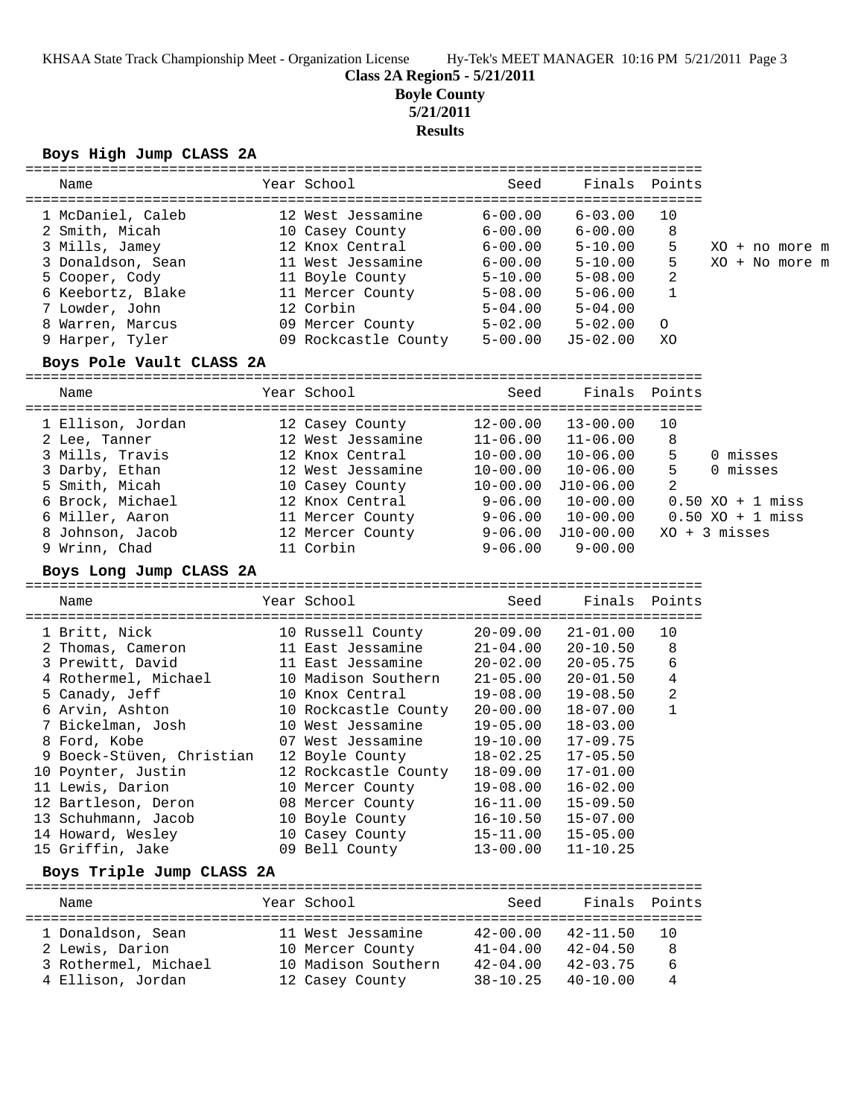KHSAA State Track Championship Meet - Organization License Hy-Tek's MEET MANAGER 10:16 PM 5/21/2011 Page 3

**Class 2A Region5 - 5/21/2011**

**Boyle County**

**5/21/2011**

**Results**

#### **Boys High Jump CLASS 2A**

| Name                                                                                                                                | Year School                                                                                                                      | Seed                                                                                                  | Finals Points                                                                                         |                          |  |                                  |  |
|-------------------------------------------------------------------------------------------------------------------------------------|----------------------------------------------------------------------------------------------------------------------------------|-------------------------------------------------------------------------------------------------------|-------------------------------------------------------------------------------------------------------|--------------------------|--|----------------------------------|--|
| 1 McDaniel, Caleb<br>2 Smith, Micah<br>3 Mills, Jamey<br>3 Donaldson, Sean<br>5 Cooper, Cody<br>6 Keebortz, Blake<br>7 Lowder, John | 12 West Jessamine<br>10 Casey County<br>12 Knox Central<br>11 West Jessamine<br>11 Boyle County<br>11 Mercer County<br>12 Corbin | $6 - 00.00$<br>$6 - 00.00$<br>$6 - 00.00$<br>$6 - 00.00$<br>$5 - 10.00$<br>$5 - 08.00$<br>$5 - 04.00$ | $6 - 03.00$<br>$6 - 00.00$<br>$5 - 10.00$<br>$5 - 10.00$<br>$5 - 08.00$<br>$5 - 06.00$<br>$5 - 04.00$ | 10<br>8<br>5.<br>5.<br>2 |  | XO + no more m<br>XO + No more m |  |
| 8 Warren, Marcus<br>9 Harper, Tyler                                                                                                 | 09 Mercer County<br>09 Rockcastle County                                                                                         | $5 - 02.00$<br>$5 - 00.00$                                                                            | $5 - 02.00$<br>$J5 - 02.00$                                                                           | $\Omega$<br>XO           |  |                                  |  |
|                                                                                                                                     |                                                                                                                                  |                                                                                                       |                                                                                                       |                          |  |                                  |  |

#### **Boys Pole Vault CLASS 2A**

| Name              | Year School       | Seed         |              | Finals Points |                                        |
|-------------------|-------------------|--------------|--------------|---------------|----------------------------------------|
| 1 Ellison, Jordan | 12 Casey County   | $12 - 00.00$ | $13 - 00.00$ | 10            |                                        |
| 2 Lee, Tanner     | 12 West Jessamine | $11 - 06.00$ | $11 - 06.00$ | 8             |                                        |
| 3 Mills, Travis   | 12 Knox Central   | $10 - 00.00$ | $10 - 06.00$ | 5             | 0 misses                               |
| 3 Darby, Ethan    | 12 West Jessamine | $10 - 00.00$ | $10 - 06.00$ | 5             | 0 misses                               |
| 5 Smith, Micah    | 10 Casey County   | $10 - 00.00$ | J10-06.00    | 2             |                                        |
| 6 Brock, Michael  | 12 Knox Central   | $9 - 06.00$  | $10 - 00.00$ |               | $0.50 XO + 1$ miss                     |
| 6 Miller, Aaron   | 11 Mercer County  | $9 - 06.00$  | $10 - 00.00$ |               | $0.50 \, \text{XO} + 1 \, \text{miss}$ |
| 8 Johnson, Jacob  | 12 Mercer County  | $9 - 06.00$  | J10-00.00    |               | $XO + 3$ misses                        |
| 9 Wrinn, Chad     | 11 Corbin         | $9 - 06.00$  | $9 - 00.00$  |               |                                        |
|                   |                   |              |              |               |                                        |

#### **Boys Long Jump CLASS 2A**

================================================================================

| Name                      | Year School<br>========================= | Seed         | Finals Points |    |
|---------------------------|------------------------------------------|--------------|---------------|----|
| 1 Britt, Nick             | 10 Russell County                        | $20 - 09.00$ | $21 - 01.00$  | 10 |
| 2 Thomas, Cameron         | 11 East Jessamine                        | $21 - 04.00$ | $20 - 10.50$  | 8  |
| 3 Prewitt, David          | 11 East Jessamine                        | $20 - 02.00$ | $20 - 05.75$  | 6  |
| 4 Rothermel, Michael      | 10 Madison Southern                      | $21 - 05.00$ | $20 - 01.50$  | 4  |
| 5 Canady, Jeff            | 10 Knox Central                          | 19-08.00     | $19 - 08.50$  | 2  |
| 6 Arvin, Ashton           | 10 Rockcastle County                     | $20 - 00.00$ | $18 - 07.00$  |    |
| 7 Bickelman, Josh         | 10 West Jessamine                        | $19 - 05.00$ | $18 - 03.00$  |    |
| 8 Ford, Kobe              | 07 West Jessamine                        | $19 - 10.00$ | $17 - 09.75$  |    |
| 9 Boeck-Stüven, Christian | 12 Boyle County                          | $18 - 02.25$ | $17 - 05.50$  |    |
| 10 Poynter, Justin        | 12 Rockcastle County                     | $18 - 09.00$ | $17 - 01.00$  |    |
| 11 Lewis, Darion          | 10 Mercer County                         | $19 - 08.00$ | $16 - 02.00$  |    |
| 12 Bartleson, Deron       | 08 Mercer County                         | $16 - 11.00$ | $15 - 09.50$  |    |
| 13 Schuhmann, Jacob       | 10 Boyle County                          | $16 - 10.50$ | $15 - 07.00$  |    |
| 14 Howard, Wesley         | 10 Casey County                          | $15 - 11.00$ | $15 - 05.00$  |    |
| 15 Griffin, Jake          | 09 Bell County                           | $13 - 00.00$ | $11 - 10.25$  |    |

#### **Boys Triple Jump CLASS 2A**

| Name                 | Year School         | Seed         | Finals Points |     |
|----------------------|---------------------|--------------|---------------|-----|
| 1 Donaldson, Sean    | 11 West Jessamine   | $42 - 00.00$ | $42 - 11.50$  | 1 O |
| 2 Lewis, Darion      | 10 Mercer County    | $41 - 04.00$ | $42 - 04.50$  | 8   |
| 3 Rothermel, Michael | 10 Madison Southern | $42 - 04.00$ | $42 - 03.75$  | 6   |
| 4 Ellison, Jordan    | 12 Casey County     | $38 - 10.25$ | $40 - 10.00$  | 4   |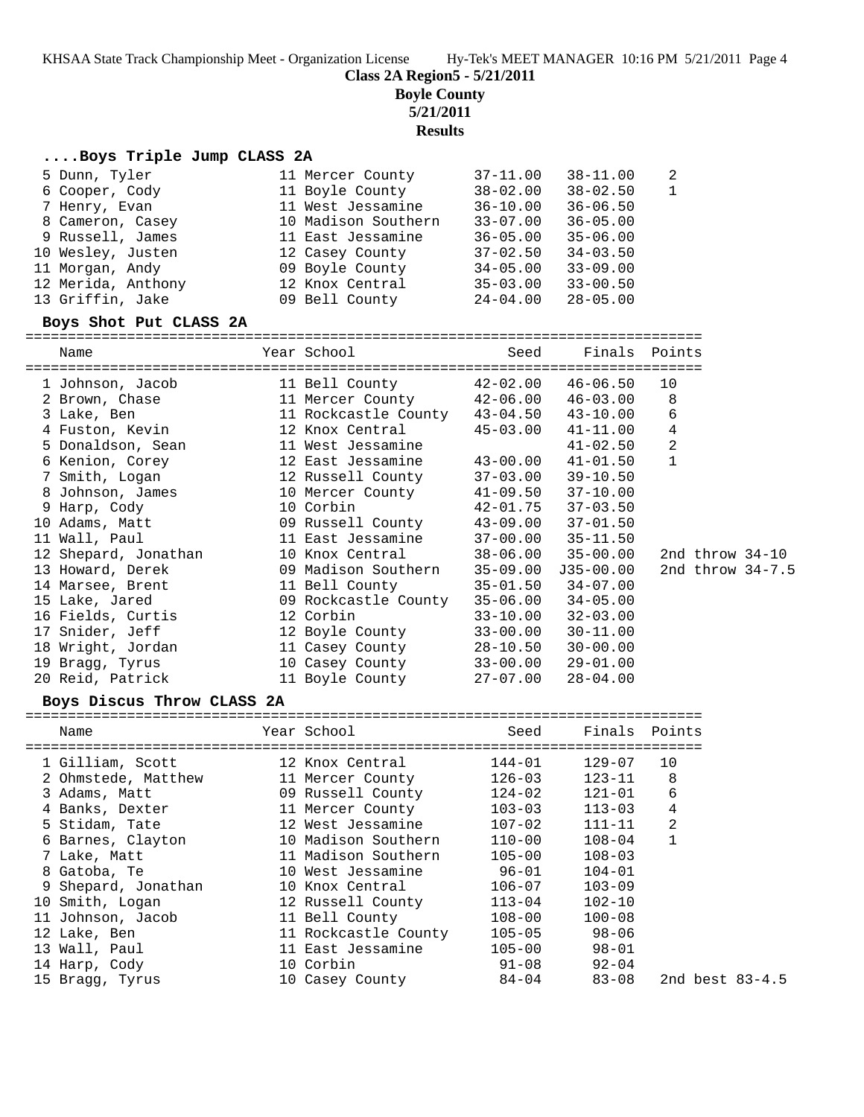KHSAA State Track Championship Meet - Organization License Hy-Tek's MEET MANAGER 10:16 PM 5/21/2011 Page 4

**Class 2A Region5 - 5/21/2011**

**Boyle County**

**5/21/2011**

**Results**

## **....Boys Triple Jump CLASS 2A**

| 5 Dunn, Tyler      | 11 Mercer County    | $37 - 11.00$ | $38 - 11.00$ | -2 |
|--------------------|---------------------|--------------|--------------|----|
| 6 Cooper, Cody     | 11 Boyle County     | $38 - 02.00$ | $38 - 02.50$ | -1 |
| 7 Henry, Evan      | 11 West Jessamine   | $36 - 10.00$ | $36 - 06.50$ |    |
| 8 Cameron, Casey   | 10 Madison Southern | $33 - 07.00$ | $36 - 05.00$ |    |
| 9 Russell, James   | 11 East Jessamine   | $36 - 05.00$ | $35 - 06.00$ |    |
| 10 Wesley, Justen  | 12 Casey County     | $37 - 02.50$ | $34 - 03.50$ |    |
| 11 Morgan, Andy    | 09 Boyle County     | $34 - 05.00$ | $33 - 09.00$ |    |
| 12 Merida, Anthony | 12 Knox Central     | $35 - 03.00$ | $33 - 00.50$ |    |
| 13 Griffin, Jake   | 09 Bell County      | $24 - 04.00$ | $28 - 05.00$ |    |

#### **Boys Shot Put CLASS 2A**

================================================================================

| Name                 | Year School                                                  | Seed         | Finals Points |                   |  |
|----------------------|--------------------------------------------------------------|--------------|---------------|-------------------|--|
|                      |                                                              | 42-02.00     | 46-06.50      | 10                |  |
| 2 Brown, Chase       | 11 Mercer County 42-06.00                                    |              | 46-03.00      | 8                 |  |
| 3 Lake, Ben          | 11 Rockcastle County 43-04.50                                |              | 43-10.00      | 6                 |  |
| 4 Fuston, Kevin      | 12 Knox Central                                              | $45 - 03.00$ | 41-11.00      | 4                 |  |
| 5 Donaldson, Sean    | 11 West Jessamine                                            |              | $41 - 02.50$  | 2                 |  |
| 6 Kenion, Corey      | 12 East Jessamine                                            | $43 - 00.00$ | $41 - 01.50$  | $\mathbf{1}$      |  |
|                      | 7 Smith, Logan                             12 Russell County | 37-03.00     | 39-10.50      |                   |  |
| 8 Johnson, James     | 10 Mercer County                                             | 41-09.50     | 37-10.00      |                   |  |
| 9 Harp, Cody         | 10 Corbin                                                    | $42 - 01.75$ | $37 - 03.50$  |                   |  |
| 10 Adams, Matt       | 09 Russell County $43-09.00$                                 |              | $37 - 01.50$  |                   |  |
| 11 Wall, Paul        | 11 East Jessamine                                            | $37 - 00.00$ | $35 - 11.50$  |                   |  |
| 12 Shepard, Jonathan | 10 Knox Central                                              | 38-06.00     | 35-00.00      | 2nd throw $34-10$ |  |
| 13 Howard, Derek     | 09 Madison Southern                                          | $35 - 09.00$ | J35-00.00     | 2nd throw 34-7.5  |  |
| 14 Marsee, Brent     | 11 Bell County                                               | $35 - 01.50$ | $34 - 07.00$  |                   |  |
| 15 Lake, Jared       | 09 Rockcastle County                                         | $35 - 06.00$ | $34 - 05.00$  |                   |  |
| 16 Fields, Curtis    | 12 Corbin                                                    | $33 - 10.00$ | $32 - 03.00$  |                   |  |
| 17 Snider, Jeff      | 12 Boyle County                                              | $33 - 00.00$ | 30-11.00      |                   |  |
| 18 Wright, Jordan    | 11 Casey County                                              | 28-10.50     | $30 - 00.00$  |                   |  |
| 19 Bragg, Tyrus      | 10 Casey County                                              | $33 - 00.00$ | 29-01.00      |                   |  |
| 20 Reid, Patrick     | 11 Boyle County                                              | 27-07.00     | $28 - 04.00$  |                   |  |

#### **Boys Discus Throw CLASS 2A**

|                                            |                          | -------------------------------- |                    |                 |
|--------------------------------------------|--------------------------|----------------------------------|--------------------|-----------------|
| Name<br>---------------------------------- | Year School              |                                  | Seed Finals Points |                 |
| 1 Gilliam, Scott 12 Knox Central           |                          | $144 - 01$                       | 129-07             | 10              |
|                                            |                          | 126-03                           | 123-11             | 8               |
| 3 Adams, Matt                              | 09 Russell County        | 124-02                           | 121-01             | 6               |
| 4 Banks, Dexter                            | 11 Mercer County 103-03  |                                  | $113 - 03$         | 4               |
| 5 Stidam, Tate                             | 12 West Jessamine 107-02 |                                  | $111 - 11$         | $\overline{2}$  |
| 6 Barnes, Clayton 10 Madison Southern      |                          | 110-00                           | $108 - 04$         | $\mathbf{1}$    |
| 7 Lake, Matt                               | 11 Madison Southern      | $105 - 00$                       | $108 - 03$         |                 |
| 8 Gatoba, Te                               | 10 West Jessamine        | $96 - 01$                        | $104 - 01$         |                 |
| 9 Shepard, Jonathan                        | 10 Knox Central          | 106-07                           | $103 - 09$         |                 |
| 10 Smith, Logan                            | 12 Russell County        | $113 - 04$                       | $102 - 10$         |                 |
| 11 Johnson, Jacob                          | 11 Bell County           | $108 - 00$                       | $100 - 08$         |                 |
| 12 Lake, Ben                               | 11 Rockcastle County     | 105-05 98-06                     |                    |                 |
| 13 Wall, Paul                              | 11 East Jessamine        | $105 - 00$                       | $98 - 01$          |                 |
| 14 Harp, Cody                              | 10 Corbin                | $91 - 08$                        | $92 - 04$          |                 |
| 15 Bragg, Tyrus                            | 10 Casey County          | 84-04 83-08                      |                    | 2nd best 83-4.5 |